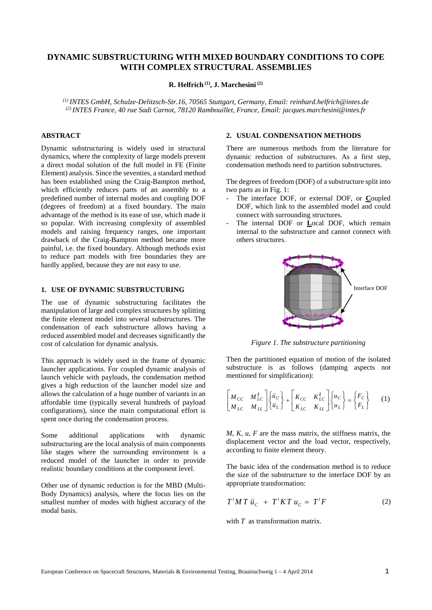# **DYNAMIC SUBSTRUCTURING WITH MIXED BOUNDARY CONDITIONS TO COPE WITH COMPLEX STRUCTURAL ASSEMBLIES**

**R. Helfrich (1), J. Marchesini (2)**

*(1) INTES GmbH, Schulze-Delitzsch-Str.16, 70565 Stuttgart, Germany, Email: reinhard.helfrich@intes.de (2) INTES France, 40 rue Sadi Carnot, 78120 Rambouillet, France, Email: jacques.marchesini@intes.fr*

# **ABSTRACT**

Dynamic substructuring is widely used in structural dynamics, where the complexity of large models prevent a direct modal solution of the full model in FE (Finite Element) analysis. Since the seventies, a standard method has been established using the Craig-Bampton method, which efficiently reduces parts of an assembly to a predefined number of internal modes and coupling DOF (degrees of freedom) at a fixed boundary. The main advantage of the method is its ease of use, which made it so popular. With increasing complexity of assembled models and raising frequency ranges, one important drawback of the Craig-Bampton method became more painful, i.e. the fixed boundary. Although methods exist to reduce part models with free boundaries they are hardly applied, because they are not easy to use.

# **1. USE OF DYNAMIC SUBSTRUCTURING**

The use of dynamic substructuring facilitates the manipulation of large and complex structures by splitting the finite element model into several substructures. The condensation of each substructure allows having a reduced assembled model and decreases significantly the cost of calculation for dynamic analysis.

This approach is widely used in the frame of dynamic launcher applications. For coupled dynamic analysis of launch vehicle with payloads, the condensation method gives a high reduction of the launcher model size and allows the calculation of a huge number of variants in an affordable time (typically several hundreds of payload configurations), since the main computational effort is spent once during the condensation process.

Some additional applications with dynamic substructuring are the local analysis of main components like stages where the surrounding environment is a reduced model of the launcher in order to provide realistic boundary conditions at the component level.

Other use of dynamic reduction is for the MBD (Multi-Body Dynamics) analysis, where the focus lies on the smallest number of modes with highest accuracy of the modal basis.

# **2. USUAL CONDENSATION METHODS**

There are numerous methods from the literature for dynamic reduction of substructures. As a first step, condensation methods need to partition substructures.

The degrees of freedom (DOF) of a substructure split into two parts as in Fig. 1:

- The interface DOF, or external DOF, or **C**oupled DOF, which link to the assembled model and could connect with surrounding structures.
- The internal DOF or **L**ocal DOF, which remain internal to the substructure and cannot connect with others structures.



*Figure 1. The substructure partitioning*

Then the partitioned equation of motion of the isolated substructure is as follows (damping aspects not mentioned for simplification):

$$
\begin{bmatrix} M_{CC} & M_{LC}^t \\ M_{LC} & M_{LL} \end{bmatrix} \begin{bmatrix} \ddot{u}_C \\ \ddot{u}_L \end{bmatrix} + \begin{bmatrix} K_{CC} & K_{LC}^t \\ K_{LC} & K_{LL} \end{bmatrix} \begin{bmatrix} u_C \\ u_L \end{bmatrix} = \begin{Bmatrix} F_C \\ F_L \end{Bmatrix} \tag{1}
$$

*M, K, u, F* are the mass matrix, the stiffness matrix, the displacement vector and the load vector, respectively, according to finite element theory.

The basic idea of the condensation method is to reduce the size of the substructure to the interface DOF by an appropriate transformation:

$$
T^t M T \ddot{u}_C + T^t K T u_C = T^t F \tag{2}
$$

with *T* as transformation matrix.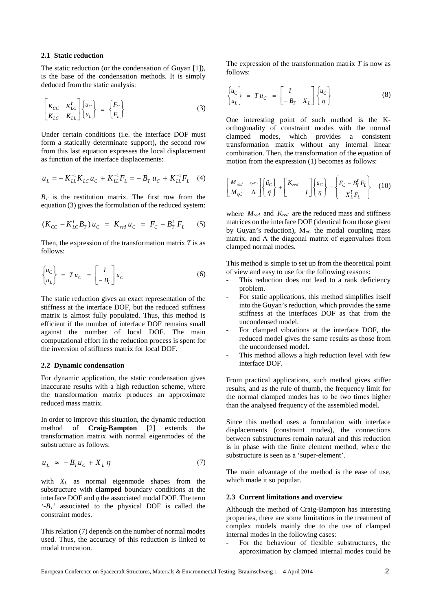#### **2.1 Static reduction**

The static reduction (or the condensation of Guyan [1]), is the base of the condensation methods. It is simply deduced from the static analysis:

$$
\begin{bmatrix} K_{CC} & K_{LC}^t \\ K_{LC} & K_{LL} \end{bmatrix} \begin{Bmatrix} u_C \\ u_L \end{Bmatrix} = \begin{Bmatrix} F_C \\ F_L \end{Bmatrix}
$$
 (3)

Under certain conditions (i.e. the interface DOF must form a statically determinate support), the second row from this last equation expresses the local displacement as function of the interface displacements:

$$
u_L = -K_{LL}^{-1}K_{LC}u_C + K_{LL}^{-1}F_L = -B_T u_C + K_{LL}^{-1}F_L \quad (4)
$$

 $B_T$  is the restitution matrix. The first row from the equation (3) gives the formulation of the reduced system:

$$
(K_{CC} - K_{LC}^t B_T) u_C = K_{red} u_C = F_C - B_T^t F_L \tag{5}
$$

Then, the expression of the transformation matrix *T* is as follows:

$$
\begin{cases} u_C \\ u_L \end{cases} = T u_C = \begin{bmatrix} I \\ -B_T \end{bmatrix} u_C \tag{6}
$$

The static reduction gives an exact representation of the stiffness at the interface DOF, but the reduced stiffness matrix is almost fully populated. Thus, this method is efficient if the number of interface DOF remains small against the number of local DOF. The main computational effort in the reduction process is spent for the inversion of stiffness matrix for local DOF.

#### **2.2 Dynamic condensation**

For dynamic application, the static condensation gives inaccurate results with a high reduction scheme, where the transformation matrix produces an approximate reduced mass matrix.

In order to improve this situation, the dynamic reduction method of **Craig-Bampton** [2] extends the transformation matrix with normal eigenmodes of the substructure as follows:

$$
u_L \approx -B_T u_C + X_L \eta \tag{7}
$$

with *XL* as normal eigenmode shapes from the substructure with **clamped** boundary conditions at the interface DOF and *η* the associated modal DOF. The term  $B_T$ <sup>'</sup> associated to the physical DOF is called the constraint modes.

This relation (7) depends on the number of normal modes used. Thus, the accuracy of this reduction is linked to modal truncation.

The expression of the transformation matrix *T* is now as follows:

$$
\begin{cases} u_C \\ u_L \end{cases} = T u_C = \begin{bmatrix} I \\ -B_T & X_L \end{bmatrix} \begin{cases} u_C \\ \eta \end{cases}
$$
 (8)

One interesting point of such method is the Korthogonality of constraint modes with the normal clamped modes, which provides a consistent transformation matrix without any internal linear combination. Then, the transformation of the equation of motion from the expression (1) becomes as follows:

$$
\begin{bmatrix} M_{red} & sym \\ M_{\eta C} & \Lambda \end{bmatrix} \begin{Bmatrix} \ddot{u}_C \\ \ddot{\eta} \end{Bmatrix} + \begin{bmatrix} K_{red} \\ I \end{bmatrix} \begin{Bmatrix} u_C \\ \eta \end{Bmatrix} = \begin{Bmatrix} F_C - B_T^t F_L \\ X_L^t F_L \end{Bmatrix}
$$
 (10)

where  $M_{red}$  and  $K_{red}$  are the reduced mass and stiffness matrices on the interface DOF (identical from those given by Guyan's reduction), M*ηC* the modal coupling mass matrix, and  $\Lambda$  the diagonal matrix of eigenvalues from clamped normal modes.

This method is simple to set up from the theoretical point of view and easy to use for the following reasons:

- This reduction does not lead to a rank deficiency problem.
- For static applications, this method simplifies itself into the Guyan's reduction, which provides the same stiffness at the interfaces DOF as that from the uncondensed model.
- For clamped vibrations at the interface DOF, the reduced model gives the same results as those from the uncondensed model.
- This method allows a high reduction level with few interface DOF.

From practical applications, such method gives stiffer results, and as the rule of thumb, the frequency limit for the normal clamped modes has to be two times higher than the analysed frequency of the assembled model.

Since this method uses a formulation with interface displacements (constraint modes), the connections between substructures remain natural and this reduction is in phase with the finite element method, where the substructure is seen as a 'super-element'.

The main advantage of the method is the ease of use, which made it so popular.

#### **2.3 Current limitations and overview**

Although the method of Craig-Bampton has interesting properties, there are some limitations in the treatment of complex models mainly due to the use of clamped internal modes in the following cases:

- For the behaviour of flexible substructures, the approximation by clamped internal modes could be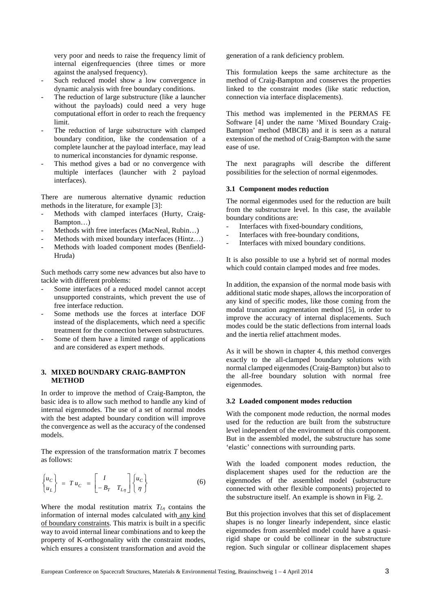very poor and needs to raise the frequency limit of internal eigenfrequencies (three times or more against the analysed frequency).

- Such reduced model show a low convergence in dynamic analysis with free boundary conditions.
- The reduction of large substructure (like a launcher without the payloads) could need a very huge computational effort in order to reach the frequency limit.
- The reduction of large substructure with clamped boundary condition, like the condensation of a complete launcher at the payload interface, may lead to numerical inconstancies for dynamic response.
- This method gives a bad or no convergence with multiple interfaces (launcher with 2 payload interfaces).

There are numerous alternative dynamic reduction methods in the literature, for example [3]:

- Methods with clamped interfaces (Hurty, Craig-Bampton…)
- Methods with free interfaces (MacNeal, Rubin...)
- Methods with mixed boundary interfaces (Hintz...)
- Methods with loaded component modes (Benfield-Hruda)

Such methods carry some new advances but also have to tackle with different problems:

- Some interfaces of a reduced model cannot accept unsupported constraints, which prevent the use of free interface reduction.
- Some methods use the forces at interface DOF instead of the displacements, which need a specific treatment for the connection between substructures.
- Some of them have a limited range of applications and are considered as expert methods.

## **3. MIXED BOUNDARY CRAIG-BAMPTON METHOD**

In order to improve the method of Craig-Bampton, the basic idea is to allow such method to handle any kind of internal eigenmodes. The use of a set of normal modes with the best adapted boundary condition will improve the convergence as well as the accuracy of the condensed models.

The expression of the transformation matrix *T* becomes as follows:

$$
\begin{cases} u_C \\ u_L \end{cases} = T u_C = \begin{bmatrix} I \\ -B_T & T_{L\eta} \end{bmatrix} \begin{cases} u_C \\ \eta \end{cases}
$$
 (6)

Where the modal restitution matrix  $T_{L\eta}$  contains the information of internal modes calculated with any kind of boundary constraints. This matrix is built in a specific way to avoid internal linear combinations and to keep the property of K-orthogonality with the constraint modes, which ensures a consistent transformation and avoid the generation of a rank deficiency problem.

This formulation keeps the same architecture as the method of Craig-Bampton and conserves the properties linked to the constraint modes (like static reduction, connection via interface displacements).

This method was implemented in the PERMAS FE Software [4] under the name 'Mixed Boundary Craig-Bampton' method (MBCB) and it is seen as a natural extension of the method of Craig-Bampton with the same ease of use.

The next paragraphs will describe the different possibilities for the selection of normal eigenmodes.

#### **3.1 Component modes reduction**

The normal eigenmodes used for the reduction are built from the substructure level. In this case, the available boundary conditions are:

- Interfaces with fixed-boundary conditions,
- Interfaces with free-boundary conditions,
- Interfaces with mixed boundary conditions.

It is also possible to use a hybrid set of normal modes which could contain clamped modes and free modes.

In addition, the expansion of the normal mode basis with additional static mode shapes, allows the incorporation of any kind of specific modes, like those coming from the modal truncation augmentation method [5], in order to improve the accuracy of internal displacements. Such modes could be the static deflections from internal loads and the inertia relief attachment modes.

As it will be shown in chapter 4, this method converges exactly to the all-clamped boundary solutions with normal clamped eigenmodes (Craig-Bampton) but also to the all-free boundary solution with normal free eigenmodes.

## **3.2 Loaded component modes reduction**

With the component mode reduction, the normal modes used for the reduction are built from the substructure level independent of the environment of this component. But in the assembled model, the substructure has some 'elastic' connections with surrounding parts.

With the loaded component modes reduction, the displacement shapes used for the reduction are the eigenmodes of the assembled model (substructure connected with other flexible components) projected to the substructure itself. An example is shown in Fig. 2.

But this projection involves that this set of displacement shapes is no longer linearly independent, since elastic eigenmodes from assembled model could have a quasirigid shape or could be collinear in the substructure region. Such singular or collinear displacement shapes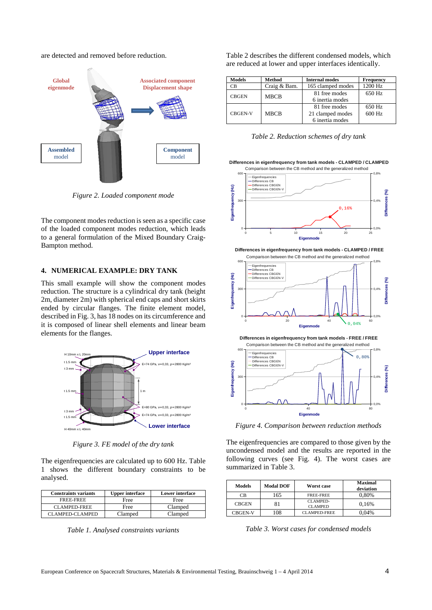are detected and removed before reduction.



*Figure 2. Loaded component mode*

The component modes reduction is seen as a specific case of the loaded component modes reduction, which leads to a general formulation of the Mixed Boundary Craig-Bampton method.

## **4. NUMERICAL EXAMPLE: DRY TANK**

This small example will show the component modes reduction. The structure is a cylindrical dry tank (height 2m, diameter 2m) with spherical end caps and short skirts ended by circular flanges. The finite element model, described in Fig. 3, has 18 nodes on its circumference and it is composed of linear shell elements and linear beam elements for the flanges.



*Figure 3. FE model of the dry tank*

The eigenfrequencies are calculated up to 600 Hz. Table 1 shows the different boundary constraints to be analysed.

| <b>Constraints variants</b> | <b>Upper interface</b> | <b>Lower interface</b> |
|-----------------------------|------------------------|------------------------|
| FREE-FREE                   | Free                   | Free                   |
| <b>CLAMPED-FREE</b>         | Free                   | Clamped                |
| CLAMPED-CLAMPED             | Clamped                | Clamped                |

*Table 1. Analysed constraints variants*

Table 2 describes the different condensed models, which are reduced at lower and upper interfaces identically.

| <b>Models</b>  | <b>Method</b> | <b>Internal modes</b> | <b>Frequency</b> |
|----------------|---------------|-----------------------|------------------|
| СB             | Craig & Bam.  | 165 clamped modes     | 1200 Hz          |
| <b>CBGEN</b>   | <b>MBCB</b>   | 81 free modes         | 650 Hz           |
|                |               | 6 inertia modes       |                  |
| <b>CBGEN-V</b> | <b>MBCB</b>   | 81 free modes         | 650 Hz           |
|                |               | 21 clamped modes      | 600 Hz           |
|                |               | 6 inertia modes       |                  |

*Table 2. Reduction schemes of dry tank*

**Differences in eigenfrequency from tank models - CLAMPED / CLAMPED**



**Differences in eigenfrequency from tank models - CLAMPED / FREE**





*Figure 4. Comparison between reduction methods*

0 80

**Eigen** 

 $\mathsf{C}$ 

The eigenfrequencies are compared to those given by the uncondensed model and the results are reported in the following curves (see Fig. 4). The worst cases are summarized in Table 3.

| <b>Models</b>  | <b>Modal DOF</b> | Worst case                 | <b>Maximal</b><br>deviation |
|----------------|------------------|----------------------------|-----------------------------|
| CВ             | 165              | FREE-FREE                  | 0,80%                       |
| <b>CBGEN</b>   | 81               | CLAMPED-<br><b>CLAMPED</b> | 0.16%                       |
| <b>CBGEN-V</b> | 108              | <b>CLAMPED-FREE</b>        | 0.04%                       |

*Table 3. Worst cases for condensed models*

0,0%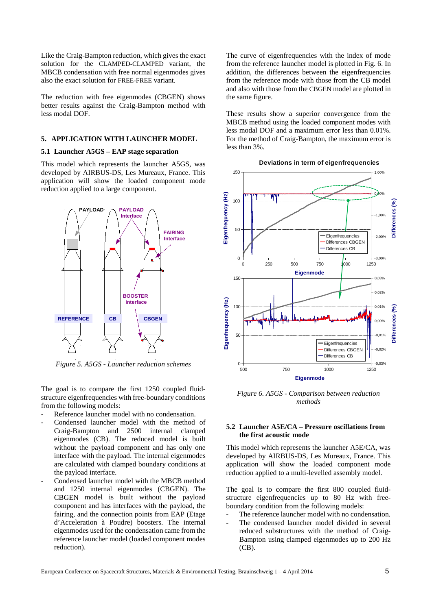Like the Craig-Bampton reduction, which gives the exact solution for the CLAMPED-CLAMPED variant, the MBCB condensation with free normal eigenmodes gives also the exact solution for FREE-FREE variant.

The reduction with free eigenmodes (CBGEN) shows better results against the Craig-Bampton method with less modal DOF.

# **5. APPLICATION WITH LAUNCHER MODEL**

#### **5.1 Launcher A5GS – EAP stage separation**

This model which represents the launcher A5GS, was developed by AIRBUS-DS, Les Mureaux, France. This application will show the loaded component mode reduction applied to a large component.



*Figure 5. A5GS - Launcher reduction schemes*

The goal is to compare the first 1250 coupled fluidstructure eigenfrequencies with free-boundary conditions from the following models:

- Reference launcher model with no condensation.
- Condensed launcher model with the method of Craig-Bampton and 2500 internal clamped eigenmodes (CB). The reduced model is built without the payload component and has only one interface with the payload. The internal eigenmodes are calculated with clamped boundary conditions at the payload interface.
- Condensed launcher model with the MBCB method and 1250 internal eigenmodes (CBGEN). The CBGEN model is built without the payload component and has interfaces with the payload, the fairing, and the connection points from EAP (Etage d'Acceleration à Poudre) boosters. The internal eigenmodes used for the condensation came from the reference launcher model (loaded component modes reduction).

The curve of eigenfrequencies with the index of mode from the reference launcher model is plotted in Fig. 6. In addition, the differences between the eigenfrequencies from the reference mode with those from the CB model and also with those from the CBGEN model are plotted in the same figure.

These results show a superior convergence from the MBCB method using the loaded component modes with less modal DOF and a maximum error less than 0.01%. For the method of Craig-Bampton, the maximum error is less than 3%.



*Figure 6. A5GS - Comparison between reduction methods*

# **5.2 Launcher A5E/CA – Pressure oscillations from the first acoustic mode**

This model which represents the launcher A5E/CA, was developed by AIRBUS-DS, Les Mureaux, France. This application will show the loaded component mode reduction applied to a multi-levelled assembly model.

The goal is to compare the first 800 coupled fluidstructure eigenfrequencies up to 80 Hz with freeboundary condition from the following models:

- The reference launcher model with no condensation.
- The condensed launcher model divided in several reduced substructures with the method of Craig-Bampton using clamped eigenmodes up to 200 Hz (CB).